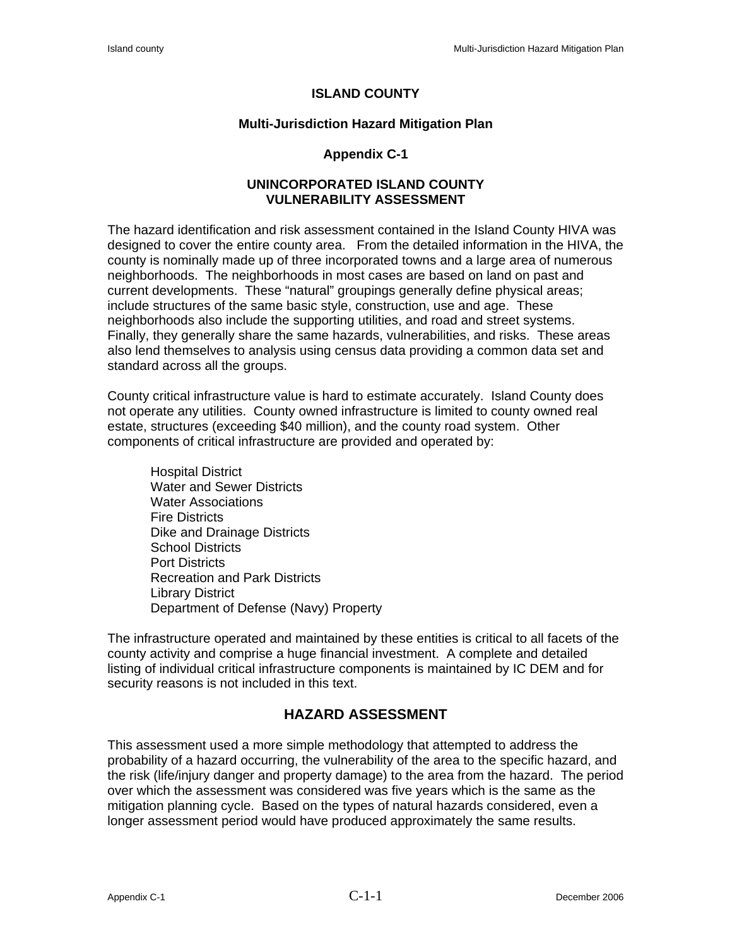# **ISLAND COUNTY**

### **Multi-Jurisdiction Hazard Mitigation Plan**

## **Appendix C-1**

## **UNINCORPORATED ISLAND COUNTY VULNERABILITY ASSESSMENT**

The hazard identification and risk assessment contained in the Island County HIVA was designed to cover the entire county area. From the detailed information in the HIVA, the county is nominally made up of three incorporated towns and a large area of numerous neighborhoods. The neighborhoods in most cases are based on land on past and current developments. These "natural" groupings generally define physical areas; include structures of the same basic style, construction, use and age. These neighborhoods also include the supporting utilities, and road and street systems. Finally, they generally share the same hazards, vulnerabilities, and risks. These areas also lend themselves to analysis using census data providing a common data set and standard across all the groups.

County critical infrastructure value is hard to estimate accurately. Island County does not operate any utilities. County owned infrastructure is limited to county owned real estate, structures (exceeding \$40 million), and the county road system. Other components of critical infrastructure are provided and operated by:

Hospital District Water and Sewer Districts Water Associations Fire Districts Dike and Drainage Districts School Districts Port Districts Recreation and Park Districts Library District Department of Defense (Navy) Property

The infrastructure operated and maintained by these entities is critical to all facets of the county activity and comprise a huge financial investment. A complete and detailed listing of individual critical infrastructure components is maintained by IC DEM and for security reasons is not included in this text.

# **HAZARD ASSESSMENT**

This assessment used a more simple methodology that attempted to address the probability of a hazard occurring, the vulnerability of the area to the specific hazard, and the risk (life/injury danger and property damage) to the area from the hazard. The period over which the assessment was considered was five years which is the same as the mitigation planning cycle. Based on the types of natural hazards considered, even a longer assessment period would have produced approximately the same results.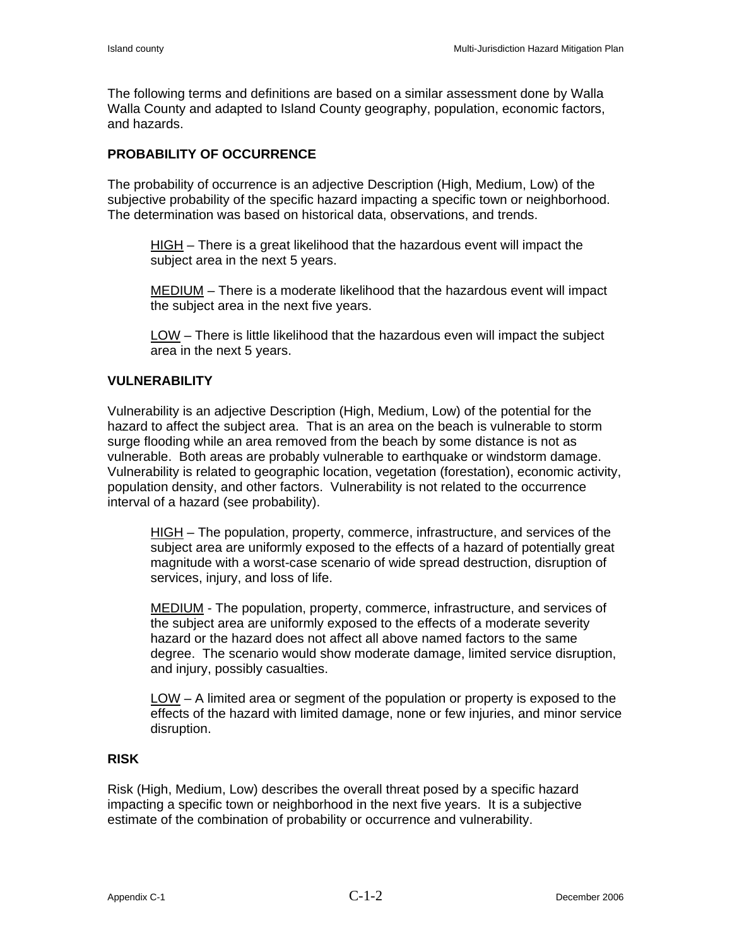The following terms and definitions are based on a similar assessment done by Walla Walla County and adapted to Island County geography, population, economic factors, and hazards.

# **PROBABILITY OF OCCURRENCE**

The probability of occurrence is an adjective Description (High, Medium, Low) of the subjective probability of the specific hazard impacting a specific town or neighborhood. The determination was based on historical data, observations, and trends.

HIGH – There is a great likelihood that the hazardous event will impact the subject area in the next 5 years.

MEDIUM – There is a moderate likelihood that the hazardous event will impact the subject area in the next five years.

LOW – There is little likelihood that the hazardous even will impact the subject area in the next 5 years.

# **VULNERABILITY**

Vulnerability is an adjective Description (High, Medium, Low) of the potential for the hazard to affect the subject area. That is an area on the beach is vulnerable to storm surge flooding while an area removed from the beach by some distance is not as vulnerable. Both areas are probably vulnerable to earthquake or windstorm damage. Vulnerability is related to geographic location, vegetation (forestation), economic activity, population density, and other factors. Vulnerability is not related to the occurrence interval of a hazard (see probability).

HIGH – The population, property, commerce, infrastructure, and services of the subject area are uniformly exposed to the effects of a hazard of potentially great magnitude with a worst-case scenario of wide spread destruction, disruption of services, injury, and loss of life.

MEDIUM - The population, property, commerce, infrastructure, and services of the subject area are uniformly exposed to the effects of a moderate severity hazard or the hazard does not affect all above named factors to the same degree. The scenario would show moderate damage, limited service disruption, and injury, possibly casualties.

LOW – A limited area or segment of the population or property is exposed to the effects of the hazard with limited damage, none or few injuries, and minor service disruption.

### **RISK**

Risk (High, Medium, Low) describes the overall threat posed by a specific hazard impacting a specific town or neighborhood in the next five years. It is a subjective estimate of the combination of probability or occurrence and vulnerability.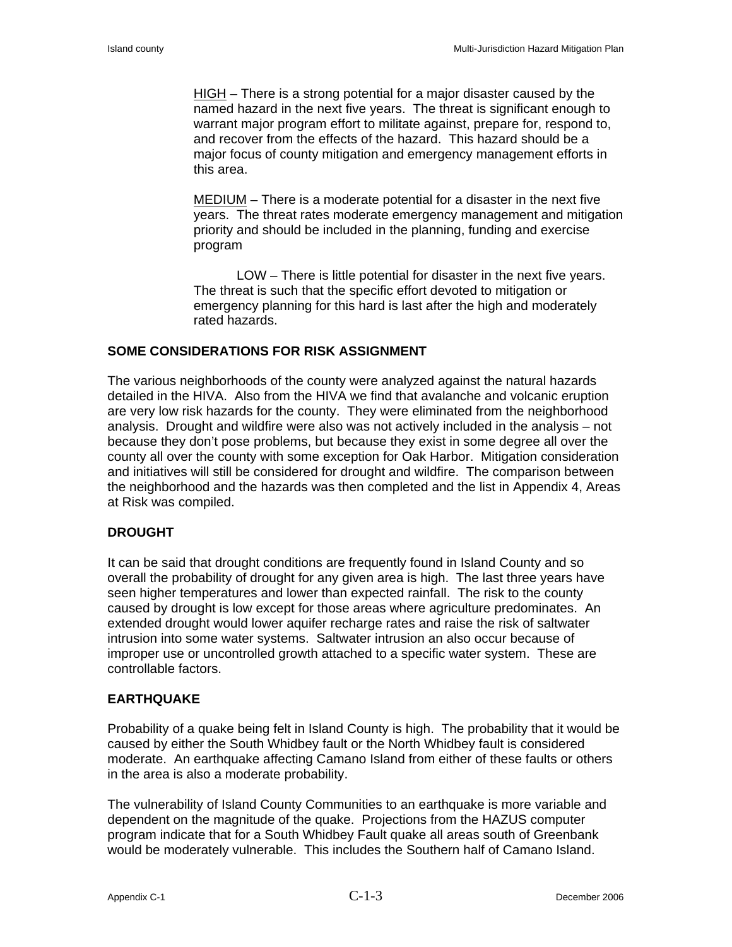HIGH – There is a strong potential for a major disaster caused by the named hazard in the next five years. The threat is significant enough to warrant major program effort to militate against, prepare for, respond to, and recover from the effects of the hazard. This hazard should be a major focus of county mitigation and emergency management efforts in this area.

MEDIUM – There is a moderate potential for a disaster in the next five years. The threat rates moderate emergency management and mitigation priority and should be included in the planning, funding and exercise program

 LOW – There is little potential for disaster in the next five years. The threat is such that the specific effort devoted to mitigation or emergency planning for this hard is last after the high and moderately rated hazards.

#### **SOME CONSIDERATIONS FOR RISK ASSIGNMENT**

The various neighborhoods of the county were analyzed against the natural hazards detailed in the HIVA. Also from the HIVA we find that avalanche and volcanic eruption are very low risk hazards for the county. They were eliminated from the neighborhood analysis. Drought and wildfire were also was not actively included in the analysis – not because they don't pose problems, but because they exist in some degree all over the county all over the county with some exception for Oak Harbor. Mitigation consideration and initiatives will still be considered for drought and wildfire. The comparison between the neighborhood and the hazards was then completed and the list in Appendix 4, Areas at Risk was compiled.

#### **DROUGHT**

It can be said that drought conditions are frequently found in Island County and so overall the probability of drought for any given area is high. The last three years have seen higher temperatures and lower than expected rainfall. The risk to the county caused by drought is low except for those areas where agriculture predominates. An extended drought would lower aquifer recharge rates and raise the risk of saltwater intrusion into some water systems. Saltwater intrusion an also occur because of improper use or uncontrolled growth attached to a specific water system. These are controllable factors.

#### **EARTHQUAKE**

Probability of a quake being felt in Island County is high. The probability that it would be caused by either the South Whidbey fault or the North Whidbey fault is considered moderate. An earthquake affecting Camano Island from either of these faults or others in the area is also a moderate probability.

The vulnerability of Island County Communities to an earthquake is more variable and dependent on the magnitude of the quake. Projections from the HAZUS computer program indicate that for a South Whidbey Fault quake all areas south of Greenbank would be moderately vulnerable. This includes the Southern half of Camano Island.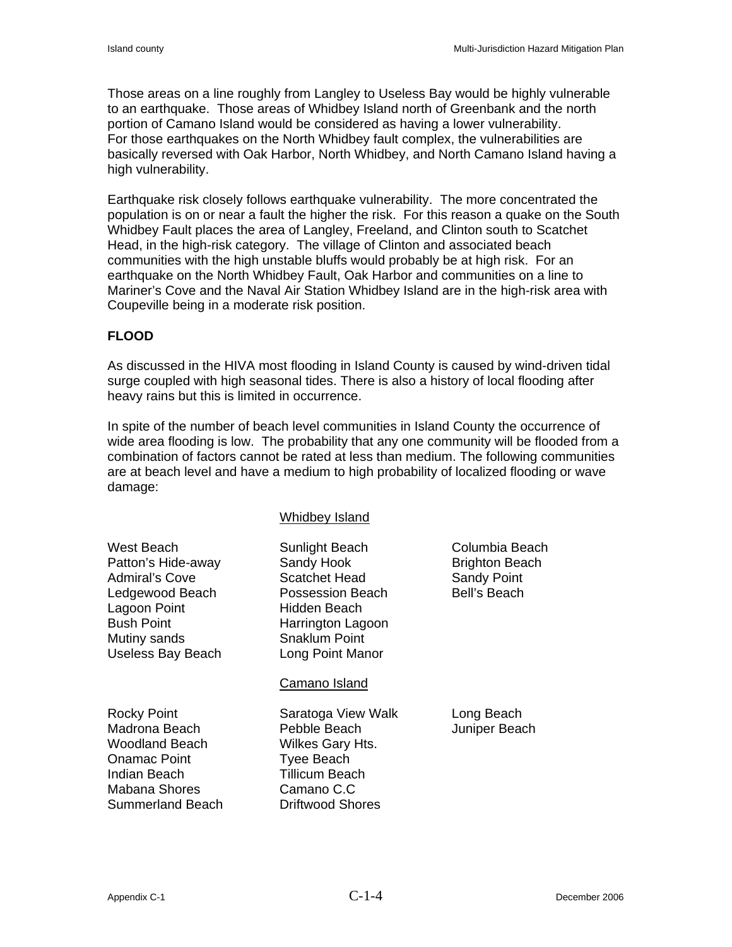Those areas on a line roughly from Langley to Useless Bay would be highly vulnerable to an earthquake. Those areas of Whidbey Island north of Greenbank and the north portion of Camano Island would be considered as having a lower vulnerability. For those earthquakes on the North Whidbey fault complex, the vulnerabilities are basically reversed with Oak Harbor, North Whidbey, and North Camano Island having a high vulnerability.

Earthquake risk closely follows earthquake vulnerability. The more concentrated the population is on or near a fault the higher the risk. For this reason a quake on the South Whidbey Fault places the area of Langley, Freeland, and Clinton south to Scatchet Head, in the high-risk category. The village of Clinton and associated beach communities with the high unstable bluffs would probably be at high risk. For an earthquake on the North Whidbey Fault, Oak Harbor and communities on a line to Mariner's Cove and the Naval Air Station Whidbey Island are in the high-risk area with Coupeville being in a moderate risk position.

# **FLOOD**

As discussed in the HIVA most flooding in Island County is caused by wind-driven tidal surge coupled with high seasonal tides. There is also a history of local flooding after heavy rains but this is limited in occurrence.

In spite of the number of beach level communities in Island County the occurrence of wide area flooding is low. The probability that any one community will be flooded from a combination of factors cannot be rated at less than medium. The following communities are at beach level and have a medium to high probability of localized flooding or wave damage:

|                                                                                                                                                        | whidbey Island                                                                                                                                     |                                                                               |
|--------------------------------------------------------------------------------------------------------------------------------------------------------|----------------------------------------------------------------------------------------------------------------------------------------------------|-------------------------------------------------------------------------------|
| West Beach<br>Patton's Hide-away<br><b>Admiral's Cove</b><br>Ledgewood Beach<br>Lagoon Point<br><b>Bush Point</b><br>Mutiny sands<br>Useless Bay Beach | Sunlight Beach<br>Sandy Hook<br>Scatchet Head<br>Possession Beach<br>Hidden Beach<br>Harrington Lagoon<br><b>Snaklum Point</b><br>Long Point Manor | Columbia Beach<br><b>Brighton Beach</b><br><b>Sandy Point</b><br>Bell's Beach |
|                                                                                                                                                        | <b>Camano Island</b>                                                                                                                               |                                                                               |
| <b>Rocky Point</b><br>Madrona Beach<br><b>Woodland Beach</b><br><b>Onamac Point</b><br>Indian Beach<br>Mabana Shores<br>Summerland Beach               | Saratoga View Walk<br>Pebble Beach<br>Wilkes Gary Hts.<br><b>Tyee Beach</b><br><b>Tillicum Beach</b><br>Camano C.C<br>Driftwood Shores             | Long Beach<br>Juniper Beach                                                   |

which is a controlled by the controller of the controller of the controller of the controller of the controller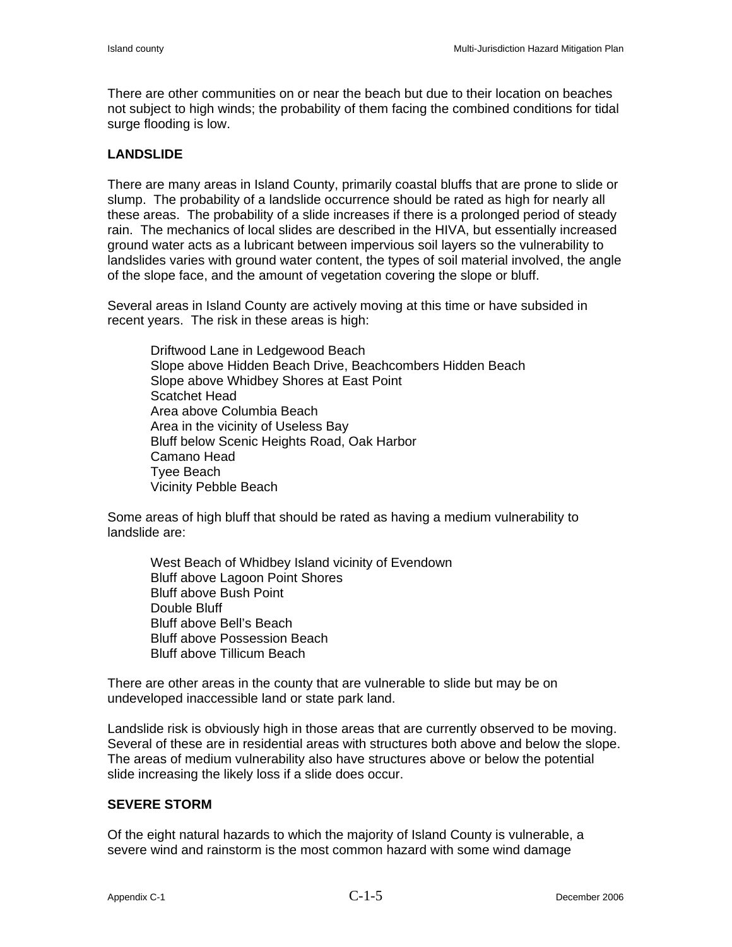There are other communities on or near the beach but due to their location on beaches not subject to high winds; the probability of them facing the combined conditions for tidal surge flooding is low.

## **LANDSLIDE**

There are many areas in Island County, primarily coastal bluffs that are prone to slide or slump. The probability of a landslide occurrence should be rated as high for nearly all these areas. The probability of a slide increases if there is a prolonged period of steady rain. The mechanics of local slides are described in the HIVA, but essentially increased ground water acts as a lubricant between impervious soil layers so the vulnerability to landslides varies with ground water content, the types of soil material involved, the angle of the slope face, and the amount of vegetation covering the slope or bluff.

Several areas in Island County are actively moving at this time or have subsided in recent years. The risk in these areas is high:

Driftwood Lane in Ledgewood Beach Slope above Hidden Beach Drive, Beachcombers Hidden Beach Slope above Whidbey Shores at East Point Scatchet Head Area above Columbia Beach Area in the vicinity of Useless Bay Bluff below Scenic Heights Road, Oak Harbor Camano Head Tyee Beach Vicinity Pebble Beach

Some areas of high bluff that should be rated as having a medium vulnerability to landslide are:

West Beach of Whidbey Island vicinity of Evendown Bluff above Lagoon Point Shores Bluff above Bush Point Double Bluff Bluff above Bell's Beach Bluff above Possession Beach Bluff above Tillicum Beach

There are other areas in the county that are vulnerable to slide but may be on undeveloped inaccessible land or state park land.

Landslide risk is obviously high in those areas that are currently observed to be moving. Several of these are in residential areas with structures both above and below the slope. The areas of medium vulnerability also have structures above or below the potential slide increasing the likely loss if a slide does occur.

### **SEVERE STORM**

Of the eight natural hazards to which the majority of Island County is vulnerable, a severe wind and rainstorm is the most common hazard with some wind damage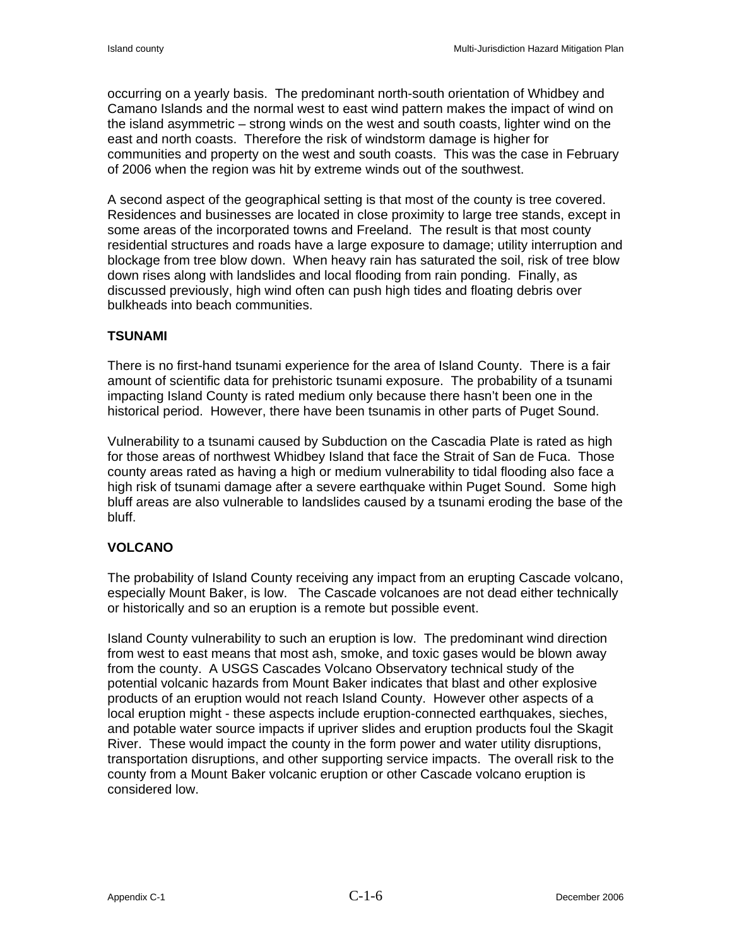occurring on a yearly basis. The predominant north-south orientation of Whidbey and Camano Islands and the normal west to east wind pattern makes the impact of wind on the island asymmetric – strong winds on the west and south coasts, lighter wind on the east and north coasts. Therefore the risk of windstorm damage is higher for communities and property on the west and south coasts. This was the case in February of 2006 when the region was hit by extreme winds out of the southwest.

A second aspect of the geographical setting is that most of the county is tree covered. Residences and businesses are located in close proximity to large tree stands, except in some areas of the incorporated towns and Freeland. The result is that most county residential structures and roads have a large exposure to damage; utility interruption and blockage from tree blow down. When heavy rain has saturated the soil, risk of tree blow down rises along with landslides and local flooding from rain ponding. Finally, as discussed previously, high wind often can push high tides and floating debris over bulkheads into beach communities.

### **TSUNAMI**

There is no first-hand tsunami experience for the area of Island County. There is a fair amount of scientific data for prehistoric tsunami exposure. The probability of a tsunami impacting Island County is rated medium only because there hasn't been one in the historical period. However, there have been tsunamis in other parts of Puget Sound.

Vulnerability to a tsunami caused by Subduction on the Cascadia Plate is rated as high for those areas of northwest Whidbey Island that face the Strait of San de Fuca. Those county areas rated as having a high or medium vulnerability to tidal flooding also face a high risk of tsunami damage after a severe earthquake within Puget Sound. Some high bluff areas are also vulnerable to landslides caused by a tsunami eroding the base of the bluff.

### **VOLCANO**

The probability of Island County receiving any impact from an erupting Cascade volcano, especially Mount Baker, is low. The Cascade volcanoes are not dead either technically or historically and so an eruption is a remote but possible event.

Island County vulnerability to such an eruption is low. The predominant wind direction from west to east means that most ash, smoke, and toxic gases would be blown away from the county. A USGS Cascades Volcano Observatory technical study of the potential volcanic hazards from Mount Baker indicates that blast and other explosive products of an eruption would not reach Island County. However other aspects of a local eruption might - these aspects include eruption-connected earthquakes, sieches, and potable water source impacts if upriver slides and eruption products foul the Skagit River. These would impact the county in the form power and water utility disruptions, transportation disruptions, and other supporting service impacts. The overall risk to the county from a Mount Baker volcanic eruption or other Cascade volcano eruption is considered low.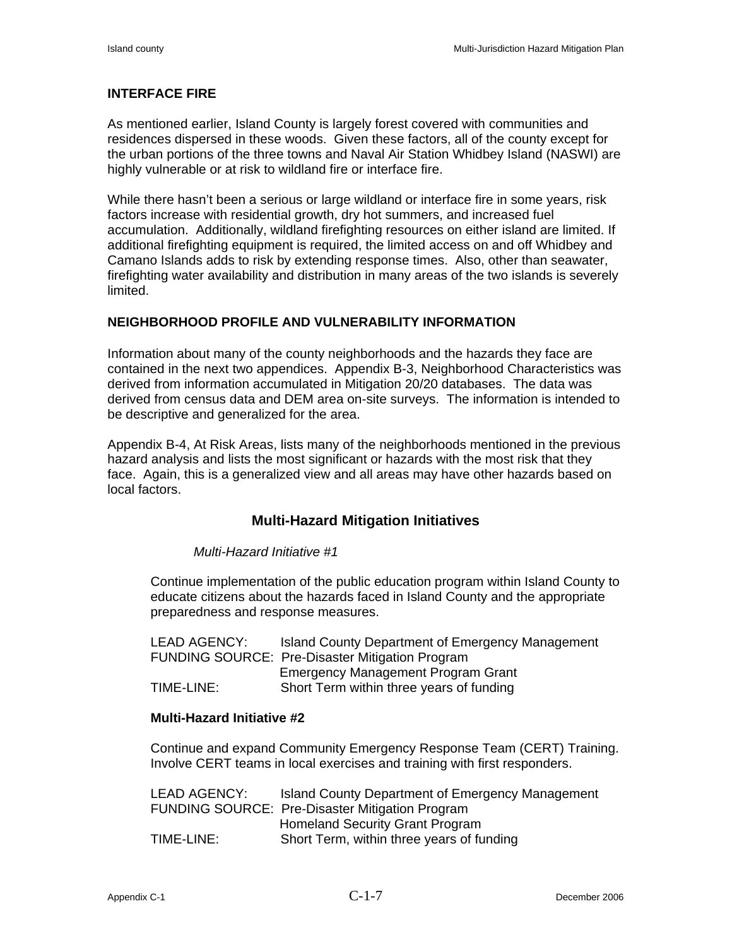### **INTERFACE FIRE**

As mentioned earlier, Island County is largely forest covered with communities and residences dispersed in these woods. Given these factors, all of the county except for the urban portions of the three towns and Naval Air Station Whidbey Island (NASWI) are highly vulnerable or at risk to wildland fire or interface fire.

While there hasn't been a serious or large wildland or interface fire in some years, risk factors increase with residential growth, dry hot summers, and increased fuel accumulation. Additionally, wildland firefighting resources on either island are limited. If additional firefighting equipment is required, the limited access on and off Whidbey and Camano Islands adds to risk by extending response times. Also, other than seawater, firefighting water availability and distribution in many areas of the two islands is severely limited.

### **NEIGHBORHOOD PROFILE AND VULNERABILITY INFORMATION**

Information about many of the county neighborhoods and the hazards they face are contained in the next two appendices. Appendix B-3, Neighborhood Characteristics was derived from information accumulated in Mitigation 20/20 databases. The data was derived from census data and DEM area on-site surveys. The information is intended to be descriptive and generalized for the area.

Appendix B-4, At Risk Areas, lists many of the neighborhoods mentioned in the previous hazard analysis and lists the most significant or hazards with the most risk that they face. Again, this is a generalized view and all areas may have other hazards based on local factors.

### **Multi-Hazard Mitigation Initiatives**

#### *Multi-Hazard Initiative #1*

Continue implementation of the public education program within Island County to educate citizens about the hazards faced in Island County and the appropriate preparedness and response measures.

| <b>LEAD AGENCY:</b> | Island County Department of Emergency Management       |
|---------------------|--------------------------------------------------------|
|                     | <b>FUNDING SOURCE: Pre-Disaster Mitigation Program</b> |
|                     | Emergency Management Program Grant                     |
| TIME-LINE:          | Short Term within three years of funding               |

#### **Multi-Hazard Initiative #2**

Continue and expand Community Emergency Response Team (CERT) Training. Involve CERT teams in local exercises and training with first responders.

| <b>LEAD AGENCY:</b> | Island County Department of Emergency Management       |
|---------------------|--------------------------------------------------------|
|                     | <b>FUNDING SOURCE: Pre-Disaster Mitigation Program</b> |
|                     | <b>Homeland Security Grant Program</b>                 |
| TIME-LINE:          | Short Term, within three years of funding              |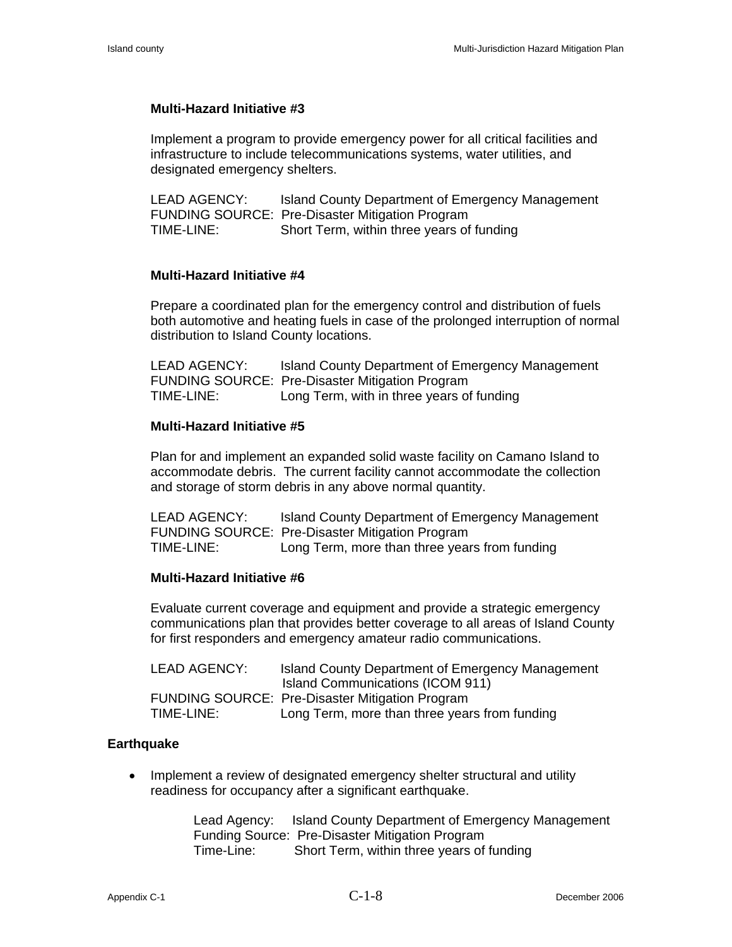#### **Multi-Hazard Initiative #3**

Implement a program to provide emergency power for all critical facilities and infrastructure to include telecommunications systems, water utilities, and designated emergency shelters.

LEAD AGENCY: Island County Department of Emergency Management FUNDING SOURCE: Pre-Disaster Mitigation Program TIME-LINE: Short Term, within three years of funding

### **Multi-Hazard Initiative #4**

Prepare a coordinated plan for the emergency control and distribution of fuels both automotive and heating fuels in case of the prolonged interruption of normal distribution to Island County locations.

LEAD AGENCY: Island County Department of Emergency Management FUNDING SOURCE: Pre-Disaster Mitigation Program TIME-LINE: Long Term, with in three years of funding

### **Multi-Hazard Initiative #5**

Plan for and implement an expanded solid waste facility on Camano Island to accommodate debris. The current facility cannot accommodate the collection and storage of storm debris in any above normal quantity.

LEAD AGENCY: Island County Department of Emergency Management FUNDING SOURCE: Pre-Disaster Mitigation Program TIME-LINE: Long Term, more than three years from funding

#### **Multi-Hazard Initiative #6**

Evaluate current coverage and equipment and provide a strategic emergency communications plan that provides better coverage to all areas of Island County for first responders and emergency amateur radio communications.

| <b>LEAD AGENCY:</b> | Island County Department of Emergency Management       |
|---------------------|--------------------------------------------------------|
|                     | Island Communications (ICOM 911)                       |
|                     | <b>FUNDING SOURCE: Pre-Disaster Mitigation Program</b> |
| TIME-LINE:          | Long Term, more than three years from funding          |

### **Earthquake**

• Implement a review of designated emergency shelter structural and utility readiness for occupancy after a significant earthquake.

> Lead Agency: Island County Department of Emergency Management Funding Source: Pre-Disaster Mitigation Program Time-Line: Short Term, within three years of funding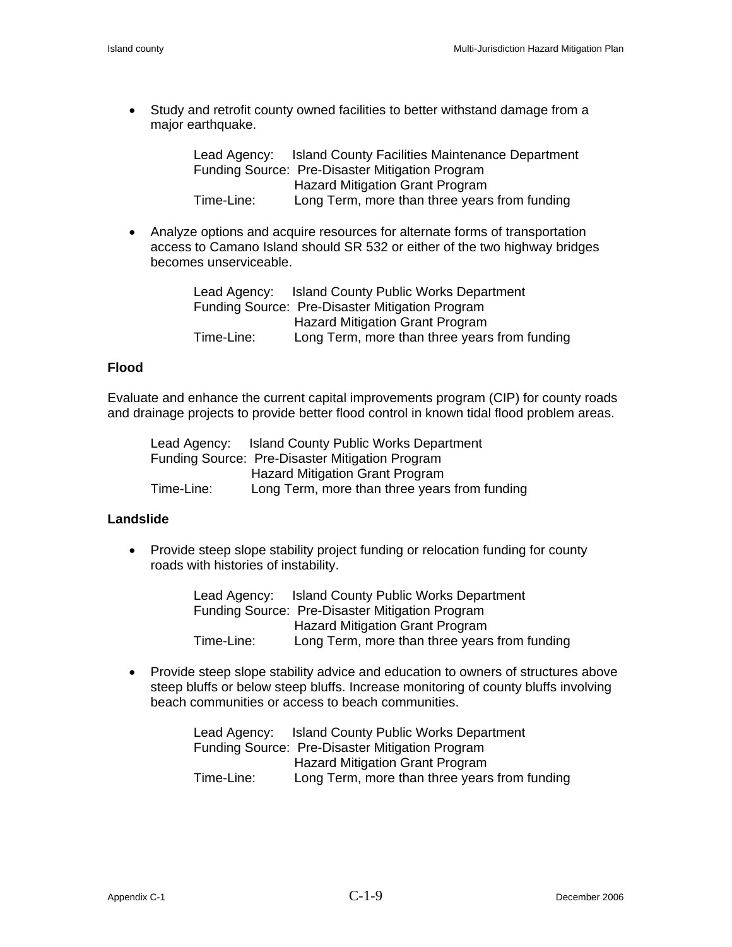• Study and retrofit county owned facilities to better withstand damage from a major earthquake.

> Lead Agency: Island County Facilities Maintenance Department Funding Source: Pre-Disaster Mitigation Program Hazard Mitigation Grant Program Time-Line: Long Term, more than three years from funding

• Analyze options and acquire resources for alternate forms of transportation access to Camano Island should SR 532 or either of the two highway bridges becomes unserviceable.

| Lead Agency: | <b>Island County Public Works Department</b>    |
|--------------|-------------------------------------------------|
|              | Funding Source: Pre-Disaster Mitigation Program |
|              | <b>Hazard Mitigation Grant Program</b>          |
| Time-Line:   | Long Term, more than three years from funding   |

### **Flood**

Evaluate and enhance the current capital improvements program (CIP) for county roads and drainage projects to provide better flood control in known tidal flood problem areas.

| Lead Agency: | Island County Public Works Department           |
|--------------|-------------------------------------------------|
|              | Funding Source: Pre-Disaster Mitigation Program |
|              | <b>Hazard Mitigation Grant Program</b>          |
| Time-Line:   | Long Term, more than three years from funding   |

### **Landslide**

• Provide steep slope stability project funding or relocation funding for county roads with histories of instability.

| Lead Agency: | <b>Island County Public Works Department</b>    |
|--------------|-------------------------------------------------|
|              | Funding Source: Pre-Disaster Mitigation Program |
|              | <b>Hazard Mitigation Grant Program</b>          |
| Time-Line:   | Long Term, more than three years from funding   |

• Provide steep slope stability advice and education to owners of structures above steep bluffs or below steep bluffs. Increase monitoring of county bluffs involving beach communities or access to beach communities.

> Lead Agency: Island County Public Works Department Funding Source: Pre-Disaster Mitigation Program Hazard Mitigation Grant Program Time-Line: Long Term, more than three years from funding